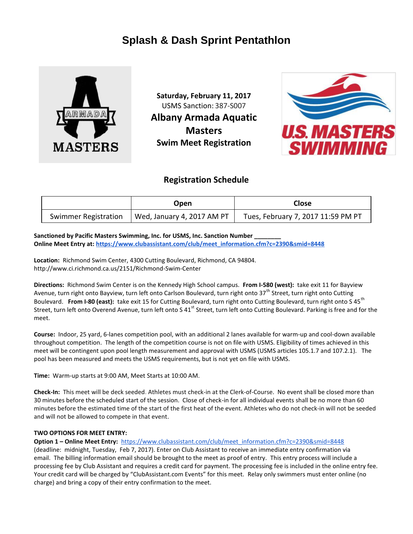# **Splash & Dash Sprint Pentathlon**



**Saturday, February 11, 2017** USMS Sanction: 387-S007 **Albany Armada Aquatic Masters Swim Meet Registration**



# **Registration Schedule**

|                             | Open                       | <b>Close</b>                       |  |  |  |  |  |
|-----------------------------|----------------------------|------------------------------------|--|--|--|--|--|
| <b>Swimmer Registration</b> | Wed, January 4, 2017 AM PT | Tues, February 7, 2017 11:59 PM PT |  |  |  |  |  |

## Sanctioned by Pacific Masters Swimming, Inc. for USMS, Inc. Sanction Number \_

**Online Meet Entry at: [https://www.clubassistant.com/club/meet\\_information.cfm?c=2390&smid=8448](https://www.clubassistant.com/club/meet_information.cfm?c=2390&smid=8448)**

**Location:** Richmond Swim Center, 4300 Cutting Boulevard, Richmond, CA 94804. http://www.ci.richmond.ca.us/2151/Richmond-Swim-Center

**Directions:** Richmond Swim Center is on the Kennedy High School campus. **From I-580 (west):** take exit 11 for Bayview Avenue, turn right onto Bayview, turn left onto Carlson Boulevard, turn right onto  $37<sup>th</sup>$  Street, turn right onto Cutting Boulevard. From I-80 (east): take exit 15 for Cutting Boulevard, turn right onto Cutting Boulevard, turn right onto S 45<sup>th</sup> Street, turn left onto Overend Avenue, turn left onto S 41<sup>st</sup> Street, turn left onto Cutting Boulevard. Parking is free and for the meet.

**Course:** Indoor, 25 yard, 6-lanes competition pool, with an additional 2 lanes available for warm-up and cool-down available throughout competition. The length of the competition course is not on file with USMS. Eligibility of times achieved in this meet will be contingent upon pool length measurement and approval with USMS (USMS articles 105.1.7 and 107.2.1). The pool has been measured and meets the USMS requirements, but is not yet on file with USMS.

**Time:** Warm-up starts at 9:00 AM, Meet Starts at 10:00 AM.

**Check-In:** This meet will be deck seeded. Athletes must check-in at the Clerk-of-Course. No event shall be closed more than 30 minutes before the scheduled start of the session. Close of check-in for all individual events shall be no more than 60 minutes before the estimated time of the start of the first heat of the event. Athletes who do not check-in will not be seeded and will not be allowed to compete in that event.

### **TWO OPTIONS FOR MEET ENTRY:**

**Option 1 – Online Meet Entry:** [https://www.clubassistant.com/club/meet\\_information.cfm?c=2390&smid=8448](https://www.clubassistant.com/club/meet_information.cfm?c=2390&smid=8448) 

(deadline: midnight, Tuesday, Feb 7, 2017). Enter on Club Assistant to receive an immediate entry confirmation via email. The billing information email should be brought to the meet as proof of entry. This entry process will include a processing fee by Club Assistant and requires a credit card for payment. The processing fee is included in the online entry fee. Your credit card will be charged by "ClubAssistant.com Events" for this meet. Relay only swimmers must enter online (no charge) and bring a copy of their entry confirmation to the meet.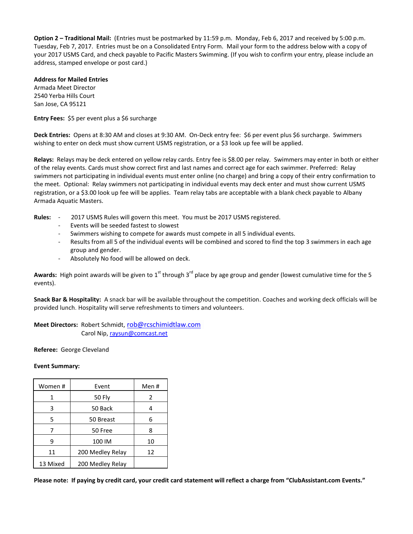**Option 2 – Traditional Mail:** (Entries must be postmarked by 11:59 p.m. Monday, Feb 6, 2017 and received by 5:00 p.m. Tuesday, Feb 7, 2017. Entries must be on a Consolidated Entry Form. Mail your form to the address below with a copy of your 2017 USMS Card, and check payable to Pacific Masters Swimming. (If you wish to confirm your entry, please include an address, stamped envelope or post card.)

### **Address for Mailed Entries**

Armada Meet Director 2540 Yerba Hills Court San Jose, CA 95121

**Entry Fees:** \$5 per event plus a \$6 surcharge

**Deck Entries:** Opens at 8:30 AM and closes at 9:30 AM. On-Deck entry fee: \$6 per event plus \$6 surcharge. Swimmers wishing to enter on deck must show current USMS registration, or a \$3 look up fee will be applied.

**Relays:** Relays may be deck entered on yellow relay cards. Entry fee is \$8.00 per relay. Swimmers may enter in both or either of the relay events. Cards must show correct first and last names and correct age for each swimmer. Preferred: Relay swimmers not participating in individual events must enter online (no charge) and bring a copy of their entry confirmation to the meet. Optional: Relay swimmers not participating in individual events may deck enter and must show current USMS registration, or a \$3.00 look up fee will be applies. Team relay tabs are acceptable with a blank check payable to Albany Armada Aquatic Masters.

- **Rules:** 2017 USMS Rules will govern this meet. You must be 2017 USMS registered.
	- Events will be seeded fastest to slowest
	- Swimmers wishing to compete for awards must compete in all 5 individual events.
	- Results from all 5 of the individual events will be combined and scored to find the top 3 swimmers in each age group and gender.
	- Absolutely No food will be allowed on deck.

Awards: High point awards will be given to 1<sup>st</sup> through 3<sup>rd</sup> place by age group and gender (lowest cumulative time for the 5 events).

**Snack Bar & Hospitality:** A snack bar will be available throughout the competition. Coaches and working deck officials will be provided lunch. Hospitality will serve refreshments to timers and volunteers.

**Meet Directors:** Robert Schmidt, [rob@rcschimidtlaw.com](mailto:rob@rcschimidtlaw.com) Carol Nip[, raysun@comcast.net](mailto:raysun@comcast.net)

**Referee:** George Cleveland

#### **Event Summary:**

| Women #  | Event            | Men# |  |  |
|----------|------------------|------|--|--|
| 1        | 50 Fly           | 2    |  |  |
| 3        | 50 Back          |      |  |  |
| 5        | 50 Breast        | 6    |  |  |
| 7        | 50 Free          | 8    |  |  |
| 9        | 100 IM           | 10   |  |  |
| 11       | 200 Medley Relay | 12   |  |  |
| 13 Mixed | 200 Medley Relay |      |  |  |

**Please note: If paying by credit card, your credit card statement will reflect a charge from "ClubAssistant.com Events."**